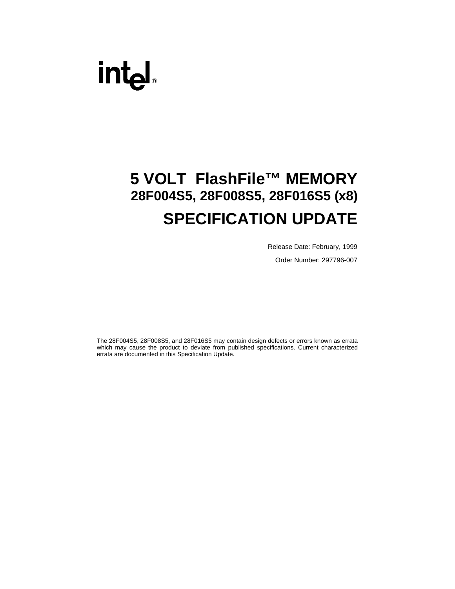# intel.

# **5 VOLT FlashFile™ MEMORY 28F004S5, 28F008S5, 28F016S5 (x8) SPECIFICATION UPDATE**

Release Date: February, 1999

Order Number: 297796-007

The 28F004S5, 28F008S5, and 28F016S5 may contain design defects or errors known as errata which may cause the product to deviate from published specifications. Current characterized errata are documented in this Specification Update.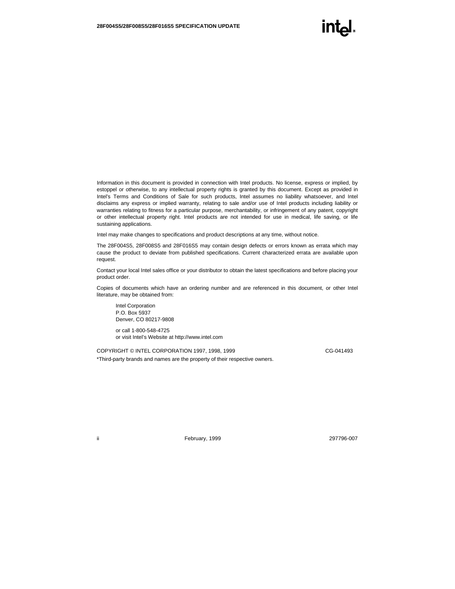Information in this document is provided in connection with Intel products. No license, express or implied, by estoppel or otherwise, to any intellectual property rights is granted by this document. Except as provided in Intel's Terms and Conditions of Sale for such products, Intel assumes no liability whatsoever, and Intel disclaims any express or implied warranty, relating to sale and/or use of Intel products including liability or warranties relating to fitness for a particular purpose, merchantability, or infringement of any patent, copyright or other intellectual property right. Intel products are not intended for use in medical, life saving, or life sustaining applications.

Intel may make changes to specifications and product descriptions at any time, without notice.

The 28F004S5, 28F008S5 and 28F016S5 may contain design defects or errors known as errata which may cause the product to deviate from published specifications. Current characterized errata are available upon request.

Contact your local Intel sales office or your distributor to obtain the latest specifications and before placing your product order.

Copies of documents which have an ordering number and are referenced in this document, or other Intel literature, may be obtained from:

Intel Corporation P.O. Box 5937 Denver, CO 80217-9808

or call 1-800-548-4725 or visit Intel's Website at http://www.intel.com

COPYRIGHT © INTEL CORPORATION 1997, 1998, 1999 CG-041493 \*Third-party brands and names are the property of their respective owners.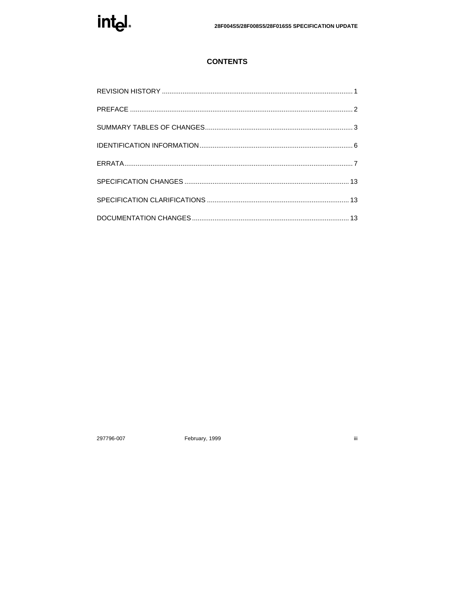

# **CONTENTS**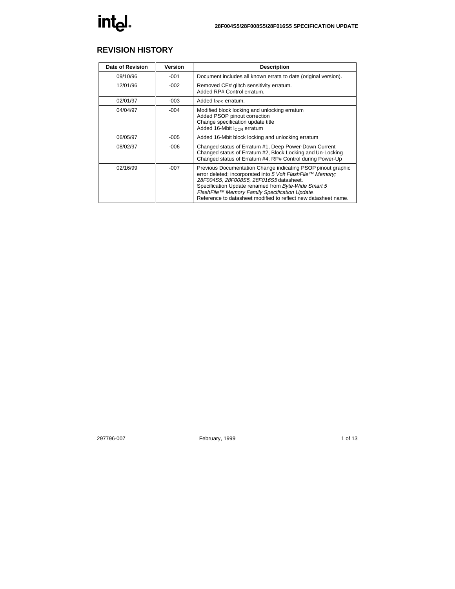# **REVISION HISTORY**

| Date of Revision | Version | <b>Description</b>                                                                                                                                                                                                                                                                                                                               |
|------------------|---------|--------------------------------------------------------------------------------------------------------------------------------------------------------------------------------------------------------------------------------------------------------------------------------------------------------------------------------------------------|
| 09/10/96         | -001    | Document includes all known errata to date (original version).                                                                                                                                                                                                                                                                                   |
| 12/01/96         | $-002$  | Removed CE# glitch sensitivity erratum.<br>Added RP# Control erratum.                                                                                                                                                                                                                                                                            |
| 02/01/97         | $-003$  | Added I <sub>PPS</sub> erratum.                                                                                                                                                                                                                                                                                                                  |
| 04/04/97         | $-004$  | Modified block locking and unlocking erratum<br>Added PSOP pinout correction<br>Change specification update title<br>Added 16-Mbit I <sub>CCR</sub> erratum                                                                                                                                                                                      |
| 06/05/97         | $-005$  | Added 16-Mbit block locking and unlocking erratum                                                                                                                                                                                                                                                                                                |
| 08/02/97         | $-006$  | Changed status of Erratum #1, Deep Power-Down Current<br>Changed status of Erratum #2, Block Locking and Un-Locking<br>Changed status of Erratum #4, RP# Control during Power-Up                                                                                                                                                                 |
| 02/16/99         | $-007$  | Previous Documentation Change indicating PSOP pinout graphic<br>error deleted; incorporated into 5 Volt FlashFile™ Memory;<br>28F004S5, 28F008S5, 28F016S5 datasheet.<br>Specification Update renamed from Byte-Wide Smart 5<br>FlashFile™ Memory Family Specification Update.<br>Reference to datasheet modified to reflect new datasheet name. |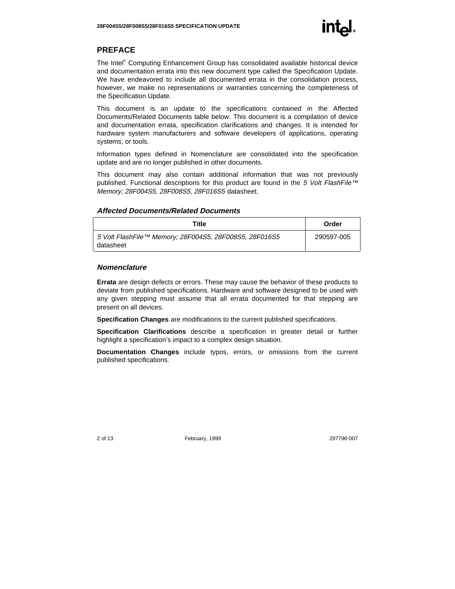# **PREFACE**

The Intel® Computing Enhancement Group has consolidated available historical device and documentation errata into this new document type called the Specification Update. We have endeavored to include all documented errata in the consolidation process, however, we make no representations or warranties concerning the completeness of the Specification Update.

This document is an update to the specifications contained in the Affected Documents/Related Documents table below. This document is a compilation of device and documentation errata, specification clarifications and changes. It is intended for hardware system manufacturers and software developers of applications, operating systems, or tools.

Information types defined in Nomenclature are consolidated into the specification update and are no longer published in other documents.

This document may also contain additional information that was not previously published. Functional descriptions for this product are found in the 5 Volt FlashFile™ Memory; 28F004S5, 28F008S5, 28F016S5 datasheet.

#### **Affected Documents/Related Documents**

| Title                                                               | Order      |
|---------------------------------------------------------------------|------------|
| 5 Volt FlashFile™ Memory; 28F004S5, 28F008S5, 28F016S5<br>datasheet | 290597-005 |

#### **Nomenclature**

**Errata** are design defects or errors. These may cause the behavior of these products to deviate from published specifications. Hardware and software designed to be used with any given stepping must assume that all errata documented for that stepping are present on all devices.

**Specification Changes** are modifications to the current published specifications.

**Specification Clarifications** describe a specification in greater detail or further highlight a specification's impact to a complex design situation.

**Documentation Changes** include typos, errors, or omissions from the current published specifications.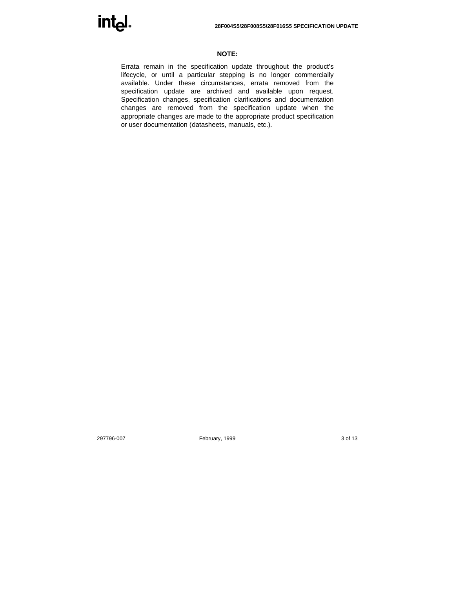

#### **NOTE:**

Errata remain in the specification update throughout the product's lifecycle, or until a particular stepping is no longer commercially available. Under these circumstances, errata removed from the specification update are archived and available upon request. Specification changes, specification clarifications and documentation changes are removed from the specification update when the appropriate changes are made to the appropriate product specification or user documentation (datasheets, manuals, etc.).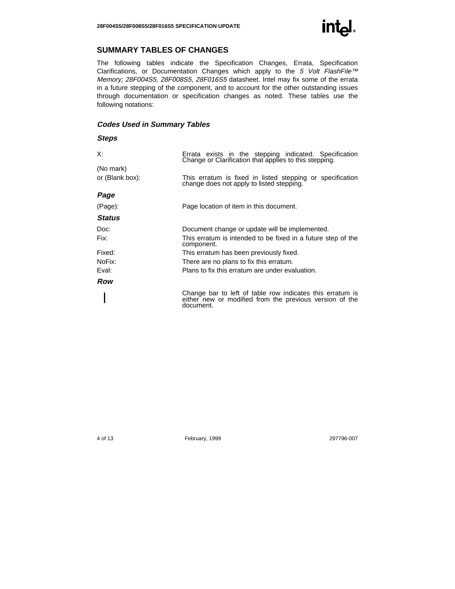# **SUMMARY TABLES OF CHANGES**

The following tables indicate the Specification Changes, Errata, Specification Clarifications, or Documentation Changes which apply to the 5 Volt FlashFile™ Memory; 28F004S5, 28F008S5, 28F016S5 datasheet. Intel may fix some of the errata in a future stepping of the component, and to account for the other outstanding issues through documentation or specification changes as noted. These tables use the following notations:

#### **Codes Used in Summary Tables**

#### **Steps**

| X:              | Errata exists in the stepping indicated. Specification<br>Change or Clarification that applies to this stepping.                  |
|-----------------|-----------------------------------------------------------------------------------------------------------------------------------|
| (No mark)       |                                                                                                                                   |
| or (Blank box): | This erratum is fixed in listed stepping or specification<br>change does not apply to listed stepping.                            |
| Page            |                                                                                                                                   |
| (Page):         | Page location of item in this document.                                                                                           |
| <b>Status</b>   |                                                                                                                                   |
| Doc:            | Document change or update will be implemented.                                                                                    |
| Fix:            | This erratum is intended to be fixed in a future step of the<br>component.                                                        |
| Fixed:          | This erratum has been previously fixed.                                                                                           |
| NoFix:          | There are no plans to fix this erratum.                                                                                           |
| Eval:           | Plans to fix this erratum are under evaluation.                                                                                   |
| Row             |                                                                                                                                   |
|                 | Change bar to left of table row indicates this erratum is<br>either new or modified from the previous version of the<br>document. |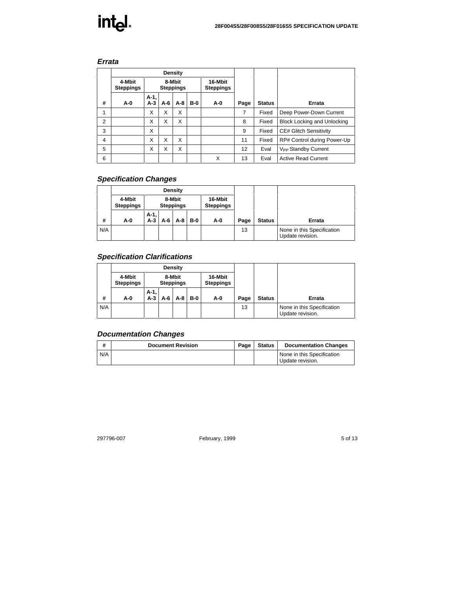# intel.

#### **Errata**

|                | Density                    |                            |     |                             |            |     |      |               |                                       |
|----------------|----------------------------|----------------------------|-----|-----------------------------|------------|-----|------|---------------|---------------------------------------|
|                | 4-Mbit<br><b>Steppings</b> | 8-Mbit<br><b>Steppings</b> |     | 16-Mbit<br><b>Steppings</b> |            |     |      |               |                                       |
| #              | A-0                        | A-1,<br>$A-3$              | A-6 | A-8                         | <b>B-0</b> | A-0 | Page | <b>Status</b> | Errata                                |
| 1              |                            | X                          | X   | X                           |            |     | 7    | Fixed         | Deep Power-Down Current               |
| $\overline{2}$ |                            | X                          | X   | X                           |            |     | 8    | Fixed         | <b>Block Locking and Unlocking</b>    |
| 3              |                            | X                          |     |                             |            |     | 9    | Fixed         | <b>CE# Glitch Sensitivity</b>         |
| $\overline{4}$ |                            | X                          | X   | X                           |            |     | 11   | Fixed         | RP# Control during Power-Up           |
| 5              |                            | X                          | X   | X                           |            |     | 12   | Eval          | <b>V<sub>PP</sub></b> Standby Current |
| 6              |                            |                            |     |                             |            | X   | 13   | Eval          | <b>Active Read Current</b>            |

# **Specification Changes**

|     |                            |                            |     | Density                     |            |     |      |               |                                                |
|-----|----------------------------|----------------------------|-----|-----------------------------|------------|-----|------|---------------|------------------------------------------------|
|     | 4-Mbit<br><b>Steppings</b> | 8-Mbit<br><b>Steppings</b> |     | 16-Mbit<br><b>Steppings</b> |            |     |      |               |                                                |
| #   | A-0                        | A-1,<br>$A-3$              | A-6 | A-8                         | <b>B-0</b> | A-0 | Page | <b>Status</b> | Errata                                         |
| N/A |                            |                            |     |                             |            |     | 13   |               | None in this Specification<br>Update revision. |

# **Specification Clarifications**

|     | Density                    |                            |     |                             |       |     |      |               |                                                |
|-----|----------------------------|----------------------------|-----|-----------------------------|-------|-----|------|---------------|------------------------------------------------|
|     | 4-Mbit<br><b>Steppings</b> | 8-Mbit<br><b>Steppings</b> |     | 16-Mbit<br><b>Steppings</b> |       |     |      |               |                                                |
| #   | A-0                        | $A-1,$<br>$A-3$            | A-6 | A-8                         | $B-0$ | A-0 | Page | <b>Status</b> | Errata                                         |
| N/A |                            |                            |     |                             |       |     | 13   |               | None in this Specification<br>Update revision. |

### **Documentation Changes**

| $\cdot$ | <b>Document Revision</b> | Page | <b>Status</b> | <b>Documentation Changes</b>                   |
|---------|--------------------------|------|---------------|------------------------------------------------|
| N/A     |                          |      |               | None in this Specification<br>Update revision. |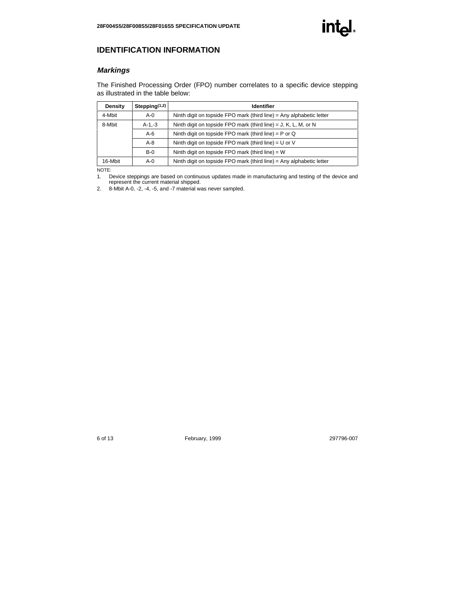#### **Markings**

The Finished Processing Order (FPO) number correlates to a specific device stepping as illustrated in the table below:

| Density | Stepping $(1,2)$ | <b>Identifier</b>                                                    |
|---------|------------------|----------------------------------------------------------------------|
| 4-Mbit  | $A - 0$          | Ninth digit on topside FPO mark (third line) = Any alphabetic letter |
| 8-Mbit  | $A-1,-3$         | Ninth digit on topside FPO mark (third line) = J, K, L, M, or N      |
|         | $A-6$            | Ninth digit on topside FPO mark (third line) = $P$ or Q              |
|         | $A - 8$          | Ninth digit on topside FPO mark (third line) = $U$ or V              |
|         | $B-0$            | Ninth digit on topside FPO mark (third line) = $W$                   |
| 16-Mbit | A-0              | Ninth digit on topside FPO mark (third line) = Any alphabetic letter |

NOTE:

1. Device steppings are based on continuous updates made in manufacturing and testing of the device and represent the current material shipped.

2. 8-Mbit A-0, -2, -4, -5, and -7 material was never sampled.

int<sub>e</sub>l.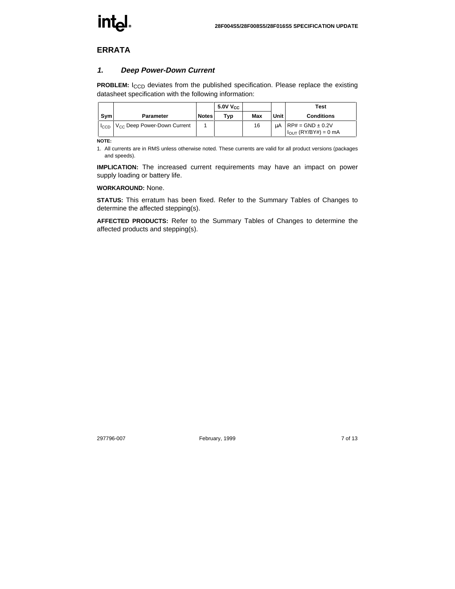# **int**هl

# **ERRATA**

#### **1. Deep Power-Down Current**

**PROBLEM:** I<sub>CCD</sub> deviates from the published specification. Please replace the existing datasheet specification with the following information:

|                  |                                         |              | 5.0V V <sub>CC</sub> |     |      | Test                                                     |
|------------------|-----------------------------------------|--------------|----------------------|-----|------|----------------------------------------------------------|
| Sym              | <b>Parameter</b>                        | <b>Notes</b> | Typ                  | Max | Unit | <b>Conditions</b>                                        |
| <sup>I</sup> CCD | V <sub>CC</sub> Deep Power-Down Current |              |                      | 16  | uА   | $RP# = GND \pm 0.2V$<br>$I_{\text{OUT}}$ (RY/BY#) = 0 mA |

**NOTE:**

1. All currents are in RMS unless otherwise noted. These currents are valid for all product versions (packages and speeds).

**IMPLICATION:** The increased current requirements may have an impact on power supply loading or battery life.

#### **WORKAROUND:** None.

**STATUS:** This erratum has been fixed. Refer to the Summary Tables of Changes to determine the affected stepping(s).

**AFFECTED PRODUCTS:** Refer to the Summary Tables of Changes to determine the affected products and stepping(s).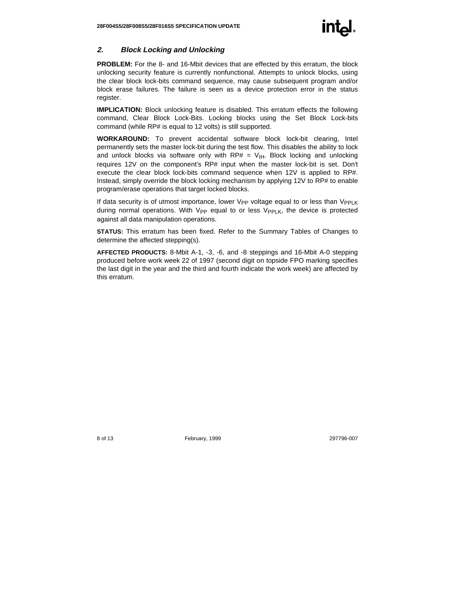#### **2. Block Locking and Unlocking**

**PROBLEM:** For the 8- and 16-Mbit devices that are effected by this erratum, the block unlocking security feature is currently nonfunctional. Attempts to unlock blocks, using the clear block lock-bits command sequence, may cause subsequent program and/or block erase failures. The failure is seen as a device protection error in the status register.

**IMPLICATION:** Block unlocking feature is disabled. This erratum effects the following command, Clear Block Lock-Bits. Locking blocks using the Set Block Lock-bits command (while RP# is equal to 12 volts) is still supported.

**WORKAROUND:** To prevent accidental software block lock-bit clearing, Intel permanently sets the master lock-bit during the test flow. This disables the ability to lock and unlock blocks via software only with  $RP# = V_{IH}$ . Block locking and unlocking requires 12V on the component's RP# input when the master lock-bit is set. Don't execute the clear block lock-bits command sequence when 12V is applied to RP#. Instead, simply override the block locking mechanism by applying 12V to RP# to enable program/erase operations that target locked blocks.

If data security is of utmost importance, lower  $V_{PP}$  voltage equal to or less than  $V_{PP|K}$ during normal operations. With  $V_{PP}$  equal to or less  $V_{PPI,K}$ , the device is protected against all data manipulation operations.

**STATUS:** This erratum has been fixed. Refer to the Summary Tables of Changes to determine the affected stepping(s).

**AFFECTED PRODUCTS:** 8-Mbit A-1, -3, -6, and -8 steppings and 16-Mbit A-0 stepping produced before work week 22 of 1997 (second digit on topside FPO marking specifies the last digit in the year and the third and fourth indicate the work week) are affected by this erratum.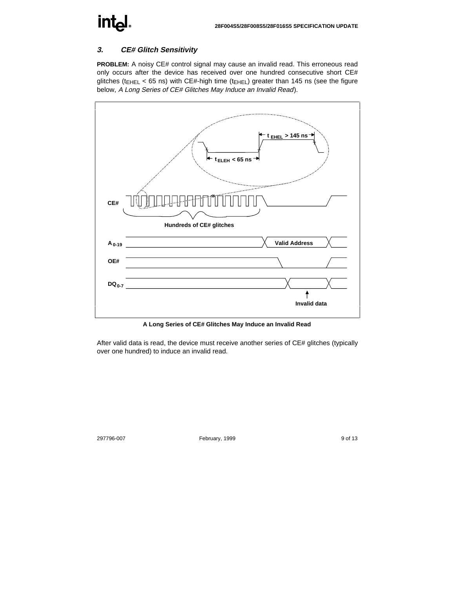# **intel**

# **3. CE# Glitch Sensitivity**

**PROBLEM:** A noisy CE# control signal may cause an invalid read. This erroneous read only occurs after the device has received over one hundred consecutive short CE# glitches ( $t_{\text{EHEL}}$  < 65 ns) with CE#-high time ( $t_{\text{EHEL}}$ ) greater than 145 ns (see the figure below, A Long Series of CE# Glitches May Induce an Invalid Read).



**A Long Series of CE# Glitches May Induce an Invalid Read**

After valid data is read, the device must receive another series of CE# glitches (typically over one hundred) to induce an invalid read.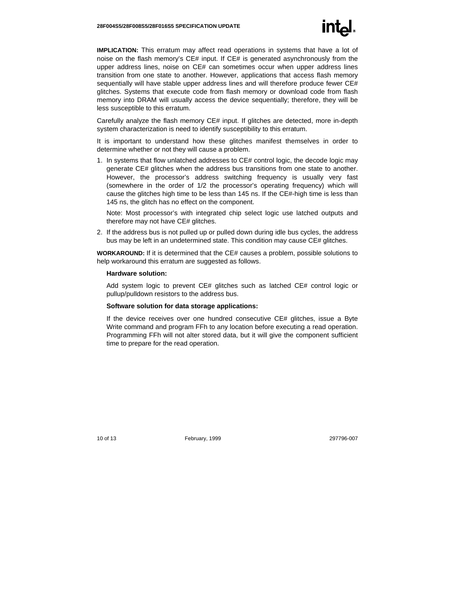**IMPLICATION:** This erratum may affect read operations in systems that have a lot of noise on the flash memory's CE# input. If CE# is generated asynchronously from the upper address lines, noise on CE# can sometimes occur when upper address lines transition from one state to another. However, applications that access flash memory sequentially will have stable upper address lines and will therefore produce fewer CE# glitches. Systems that execute code from flash memory or download code from flash memory into DRAM will usually access the device sequentially; therefore, they will be less susceptible to this erratum.

Carefully analyze the flash memory CE# input. If glitches are detected, more in-depth system characterization is need to identify susceptibility to this erratum.

It is important to understand how these glitches manifest themselves in order to determine whether or not they will cause a problem.

1. In systems that flow unlatched addresses to CE# control logic, the decode logic may generate CE# glitches when the address bus transitions from one state to another. However, the processor's address switching frequency is usually very fast (somewhere in the order of 1/2 the processor's operating frequency) which will cause the glitches high time to be less than 145 ns. If the CE#-high time is less than 145 ns, the glitch has no effect on the component.

Note: Most processor's with integrated chip select logic use latched outputs and therefore may not have CE# glitches.

2. If the address bus is not pulled up or pulled down during idle bus cycles, the address bus may be left in an undetermined state. This condition may cause CE# glitches.

**WORKAROUND:** If it is determined that the CE# causes a problem, possible solutions to help workaround this erratum are suggested as follows.

#### **Hardware solution:**

Add system logic to prevent CE# glitches such as latched CE# control logic or pullup/pulldown resistors to the address bus.

#### **Software solution for data storage applications:**

If the device receives over one hundred consecutive CE# glitches, issue a Byte Write command and program FFh to any location before executing a read operation. Programming FFh will not alter stored data, but it will give the component sufficient time to prepare for the read operation.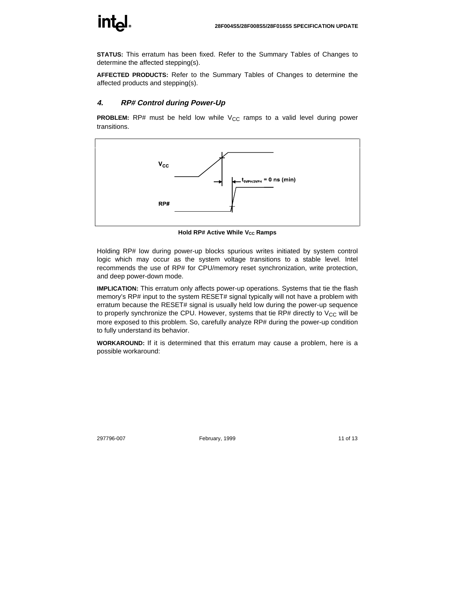

**STATUS:** This erratum has been fixed. Refer to the Summary Tables of Changes to determine the affected stepping(s).

**AFFECTED PRODUCTS:** Refer to the Summary Tables of Changes to determine the affected products and stepping(s).

### **4. RP# Control during Power-Up**

**PROBLEM:** RP# must be held low while  $V_{CC}$  ramps to a valid level during power transitions.



**Hold RP# Active While V<sub>cc</sub> Ramps** 

Holding RP# low during power-up blocks spurious writes initiated by system control logic which may occur as the system voltage transitions to a stable level. Intel recommends the use of RP# for CPU/memory reset synchronization, write protection, and deep power-down mode.

**IMPLICATION:** This erratum only affects power-up operations. Systems that tie the flash memory's RP# input to the system RESET# signal typically will not have a problem with erratum because the RESET# signal is usually held low during the power-up sequence to properly synchronize the CPU. However, systems that tie RP# directly to  $V_{CC}$  will be more exposed to this problem. So, carefully analyze RP# during the power-up condition to fully understand its behavior.

**WORKAROUND:** If it is determined that this erratum may cause a problem, here is a possible workaround: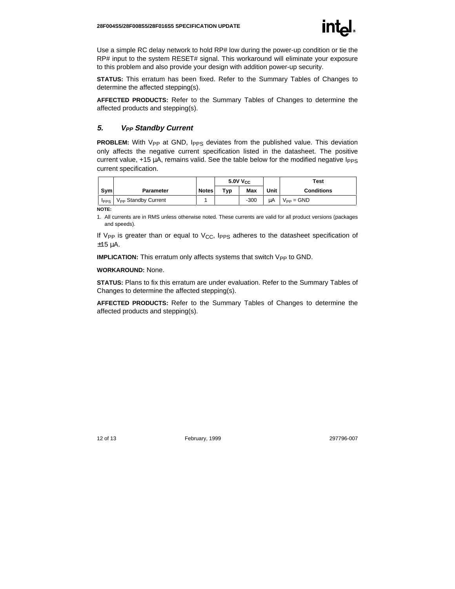Use a simple RC delay network to hold RP# low during the power-up condition or tie the RP# input to the system RESET# signal. This workaround will eliminate your exposure to this problem and also provide your design with addition power-up security.

**STATUS:** This erratum has been fixed. Refer to the Summary Tables of Changes to determine the affected stepping(s).

**AFFECTED PRODUCTS:** Refer to the Summary Tables of Changes to determine the affected products and stepping(s).

#### **5. VPP Standby Current**

**PROBLEM:** With V<sub>PP</sub> at GND, I<sub>PPS</sub> deviates from the published value. This deviation only affects the negative current specification listed in the datasheet. The positive current value,  $+15 \mu A$ , remains valid. See the table below for the modified negative  $I_{PPS}$ current specification.

|             |                                 |              | 5.0V V <sub>CC</sub> |            |      | Test                         |
|-------------|---------------------------------|--------------|----------------------|------------|------|------------------------------|
| Sym         | Parameter                       | <b>Notes</b> | Typ                  | <b>Max</b> | Unit | <b>Conditions</b>            |
| <b>IPPS</b> | V <sub>PP</sub> Standby Current |              |                      | $-300$     | μA   | $V_{\text{PP}} = \text{GND}$ |

**NOTE:**

1. All currents are in RMS unless otherwise noted. These currents are valid for all product versions (packages and speeds).

If V<sub>PP</sub> is greater than or equal to V<sub>CC</sub>, I<sub>PPS</sub> adheres to the datasheet specification of ±15 µA.

**IMPLICATION:** This erratum only affects systems that switch V<sub>PP</sub> to GND.

#### **WORKAROUND:** None.

**STATUS:** Plans to fix this erratum are under evaluation. Refer to the Summary Tables of Changes to determine the affected stepping(s).

**AFFECTED PRODUCTS:** Refer to the Summary Tables of Changes to determine the affected products and stepping(s).